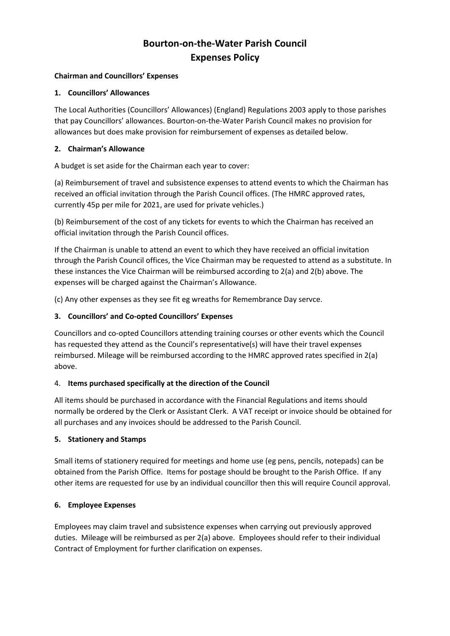# **Bourton-on-the-Water Parish Council Expenses Policy**

#### **Chairman and Councillors' Expenses**

## **1. Councillors' Allowances**

The Local Authorities (Councillors' Allowances) (England) Regulations 2003 apply to those parishes that pay Councillors' allowances. Bourton-on-the-Water Parish Council makes no provision for allowances but does make provision for reimbursement of expenses as detailed below.

## **2. Chairman's Allowance**

A budget is set aside for the Chairman each year to cover:

(a) Reimbursement of travel and subsistence expenses to attend events to which the Chairman has received an official invitation through the Parish Council offices. (The HMRC approved rates, currently 45p per mile for 2021, are used for private vehicles.)

(b) Reimbursement of the cost of any tickets for events to which the Chairman has received an official invitation through the Parish Council offices.

If the Chairman is unable to attend an event to which they have received an official invitation through the Parish Council offices, the Vice Chairman may be requested to attend as a substitute. In these instances the Vice Chairman will be reimbursed according to 2(a) and 2(b) above. The expenses will be charged against the Chairman's Allowance.

(c) Any other expenses as they see fit eg wreaths for Remembrance Day servce.

# **3. Councillors' and Co-opted Councillors' Expenses**

Councillors and co-opted Councillors attending training courses or other events which the Council has requested they attend as the Council's representative(s) will have their travel expenses reimbursed. Mileage will be reimbursed according to the HMRC approved rates specified in 2(a) above.

# 4. **Items purchased specifically at the direction of the Council**

All items should be purchased in accordance with the Financial Regulations and items should normally be ordered by the Clerk or Assistant Clerk. A VAT receipt or invoice should be obtained for all purchases and any invoices should be addressed to the Parish Council.

#### **5. Stationery and Stamps**

Small items of stationery required for meetings and home use (eg pens, pencils, notepads) can be obtained from the Parish Office. Items for postage should be brought to the Parish Office. If any other items are requested for use by an individual councillor then this will require Council approval.

# **6. Employee Expenses**

Employees may claim travel and subsistence expenses when carrying out previously approved duties. Mileage will be reimbursed as per 2(a) above. Employees should refer to their individual Contract of Employment for further clarification on expenses.